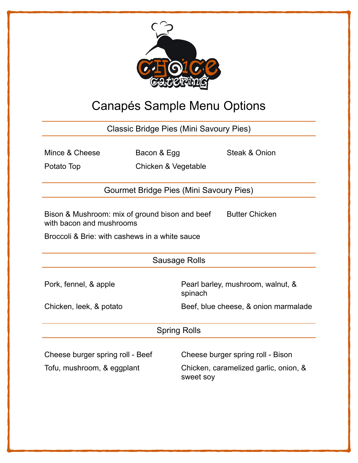

## Canapés Sample Menu Options

Classic Bridge Pies (Mini Savoury Pies)

|  | Mince & Cheese |
|--|----------------|
|  |                |

Bacon & Egg Steak & Onion

Potato Top Chicken & Vegetable

Gourmet Bridge Pies (Mini Savoury Pies)

Bison & Mushroom: mix of ground bison and beef with bacon and mushrooms Butter Chicken

Broccoli & Brie: with cashews in a white sauce

Sausage Rolls

Pork, fennel, & apple **Pearl barley, mushroom, walnut, &** spinach

Chicken, leek, & potato Beef, blue cheese, & onion marmalade

Spring Rolls

| Cheese burger spring roll - Beef | Cheese burger spring roll - Bison                  |
|----------------------------------|----------------------------------------------------|
| Tofu, mushroom, & eggplant       | Chicken, caramelized garlic, onion, &<br>sweet soy |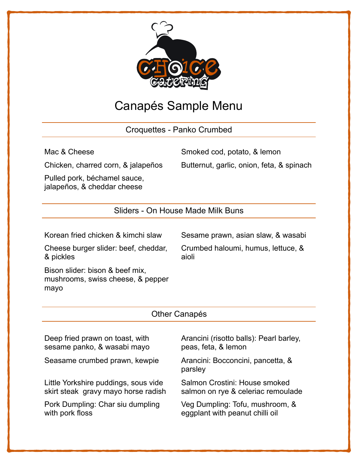

## Canapés Sample Menu

Croquettes - Panko Crumbed

Mac & Cheese Smoked cod, potato, & lemon

Pulled pork, béchamel sauce, jalapeños, & cheddar cheese

Chicken, charred corn, & jalapeños Butternut, garlic, onion, feta, & spinach

Sliders - On House Made Milk Buns

Korean fried chicken & kimchi slaw Sesame prawn, asian slaw, & wasabi

Cheese burger slider: beef, cheddar, & pickles

Crumbed haloumi, humus, lettuce, & aioli

Bison slider: bison & beef mix, mushrooms, swiss cheese, & pepper mayo

## Other Canapés

Deep fried prawn on toast, with sesame panko, & wasabi mayo

Seasame crumbed prawn, kewpie Arancini: Bocconcini, pancetta, &

Little Yorkshire puddings, sous vide skirt steak gravy mayo horse radish

Pork Dumpling: Char siu dumpling with pork floss

Arancini (risotto balls): Pearl barley, peas, feta, & lemon

parsley

Salmon Crostini: House smoked salmon on rye & celeriac remoulade

Veg Dumpling: Tofu, mushroom, & eggplant with peanut chilli oil